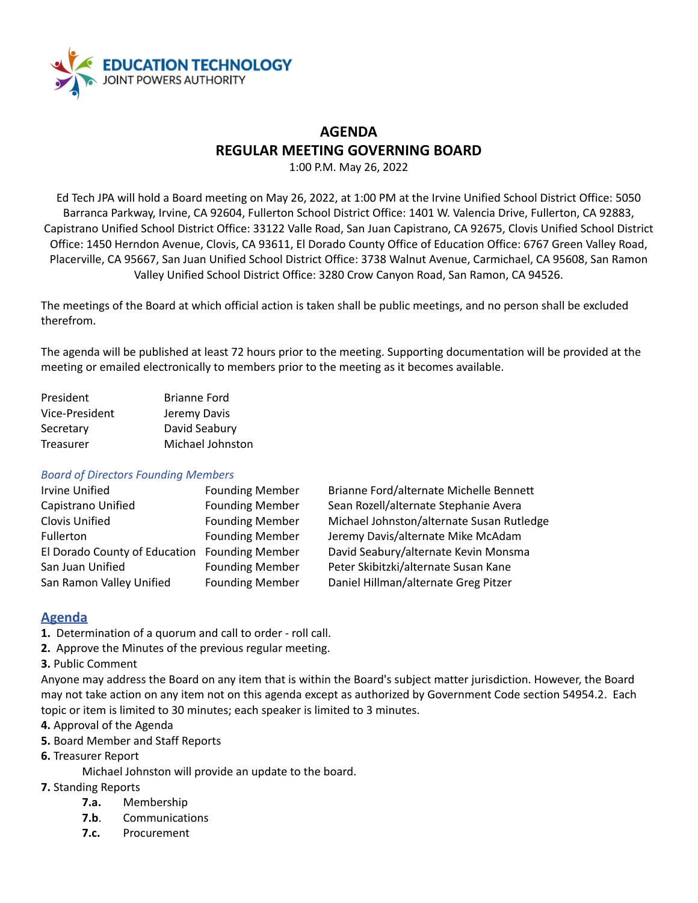

## **AGENDA REGULAR MEETING GOVERNING BOARD**

1:00 P.M. May 26, 2022

Ed Tech JPA will hold a Board meeting on May 26, 2022, at 1:00 PM at the Irvine Unified School District Office: 5050 Barranca Parkway, Irvine, CA 92604, Fullerton School District Office: 1401 W. Valencia Drive, Fullerton, CA 92883, Capistrano Unified School District Office: 33122 Valle Road, San Juan Capistrano, CA 92675, Clovis Unified School District Office: 1450 Herndon Avenue, Clovis, CA 93611, El Dorado County Office of Education Office: 6767 Green Valley Road, Placerville, CA 95667, San Juan Unified School District Office: 3738 Walnut Avenue, Carmichael, CA 95608, San Ramon Valley Unified School District Office: 3280 Crow Canyon Road, San Ramon, CA 94526.

The meetings of the Board at which official action is taken shall be public meetings, and no person shall be excluded therefrom.

The agenda will be published at least 72 hours prior to the meeting. Supporting documentation will be provided at the meeting or emailed electronically to members prior to the meeting as it becomes available.

| President      | <b>Brianne Ford</b> |
|----------------|---------------------|
| Vice-President | Jeremy Davis        |
| Secretary      | David Seabury       |
| Treasurer      | Michael Johnston    |

#### *Board of Directors Founding Members*

| <b>Irvine Unified</b>         | <b>Founding Member</b> |
|-------------------------------|------------------------|
| Capistrano Unified            | <b>Founding Member</b> |
| <b>Clovis Unified</b>         | <b>Founding Member</b> |
| Fullerton                     | <b>Founding Member</b> |
| El Dorado County of Education | <b>Founding Member</b> |
| San Juan Unified              | <b>Founding Member</b> |
| San Ramon Valley Unified      | <b>Founding Member</b> |

Brianne Ford/alternate Michelle Bennett Sean Rozell/alternate Stephanie Avera Michael Johnston/alternate Susan Rutledge Jeremy Davis/alternate Mike McAdam David Seabury/alternate Kevin Monsma Peter Skibitzki/alternate Susan Kane Daniel Hillman/alternate Greg Pitzer

## **Agenda**

- **1.** Determination of a quorum and call to order roll call.
- **2.** Approve the Minutes of the previous regular meeting.
- **3.** Public Comment

Anyone may address the Board on any item that is within the Board's subject matter jurisdiction. However, the Board may not take action on any item not on this agenda except as authorized by Government Code section 54954.2. Each topic or item is limited to 30 minutes; each speaker is limited to 3 minutes.

- **4.** Approval of the Agenda
- **5.** Board Member and Staff Reports
- **6.** Treasurer Report
	- Michael Johnston will provide an update to the board.
- **7.** Standing Reports
	- **7.a.** Membership
	- **7.b**. Communications
	- **7.c.** Procurement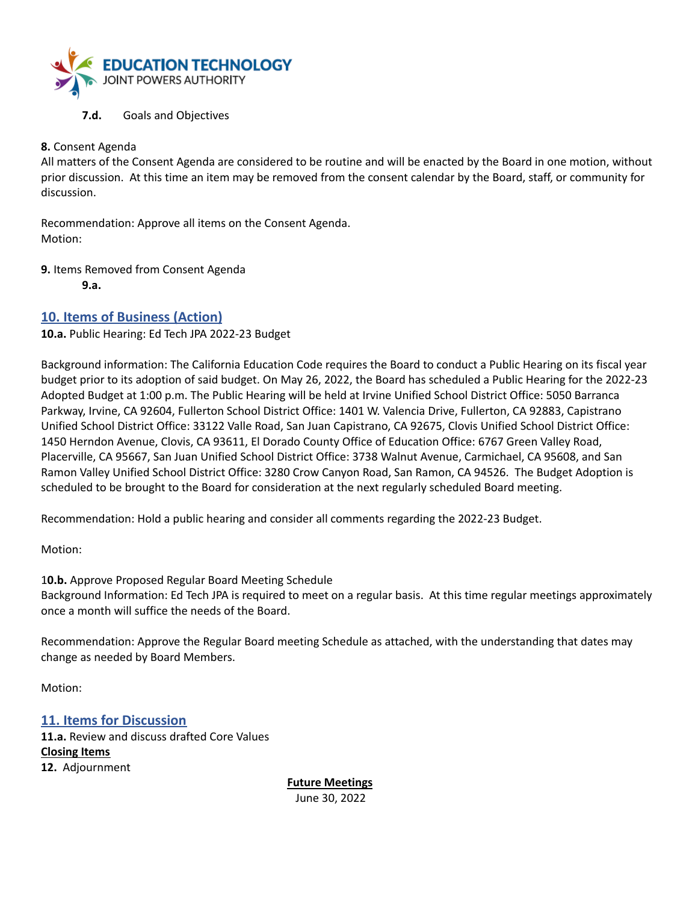

#### **7.d.** Goals and Objectives

#### **8.** Consent Agenda

All matters of the Consent Agenda are considered to be routine and will be enacted by the Board in one motion, without prior discussion. At this time an item may be removed from the consent calendar by the Board, staff, or community for discussion.

Recommendation: Approve all items on the Consent Agenda. Motion:

**9.** Items Removed from Consent Agenda

**9.a.**

## **10. Items of Business (Action)**

**10.a.** Public Hearing: Ed Tech JPA 2022-23 Budget

Background information: The California Education Code requires the Board to conduct a Public Hearing on its fiscal year budget prior to its adoption of said budget. On May 26, 2022, the Board has scheduled a Public Hearing for the 2022-23 Adopted Budget at 1:00 p.m. The Public Hearing will be held at Irvine Unified School District Office: 5050 Barranca Parkway, Irvine, CA 92604, Fullerton School District Office: 1401 W. Valencia Drive, Fullerton, CA 92883, Capistrano Unified School District Office: 33122 Valle Road, San Juan Capistrano, CA 92675, Clovis Unified School District Office: 1450 Herndon Avenue, Clovis, CA 93611, El Dorado County Office of Education Office: 6767 Green Valley Road, Placerville, CA 95667, San Juan Unified School District Office: 3738 Walnut Avenue, Carmichael, CA 95608, and San Ramon Valley Unified School District Office: 3280 Crow Canyon Road, San Ramon, CA 94526. The Budget Adoption is scheduled to be brought to the Board for consideration at the next regularly scheduled Board meeting.

Recommendation: Hold a public hearing and consider all comments regarding the 2022-23 Budget.

Motion:

1**0.b.** Approve Proposed Regular Board Meeting Schedule Background Information: Ed Tech JPA is required to meet on a regular basis. At this time regular meetings approximately once a month will suffice the needs of the Board.

Recommendation: Approve the Regular Board meeting Schedule as attached, with the understanding that dates may change as needed by Board Members.

Motion:

**11. Items for Discussion 11.a.** Review and discuss drafted Core Values **Closing Items 12.** Adjournment

> **Future Meetings** June 30, 2022